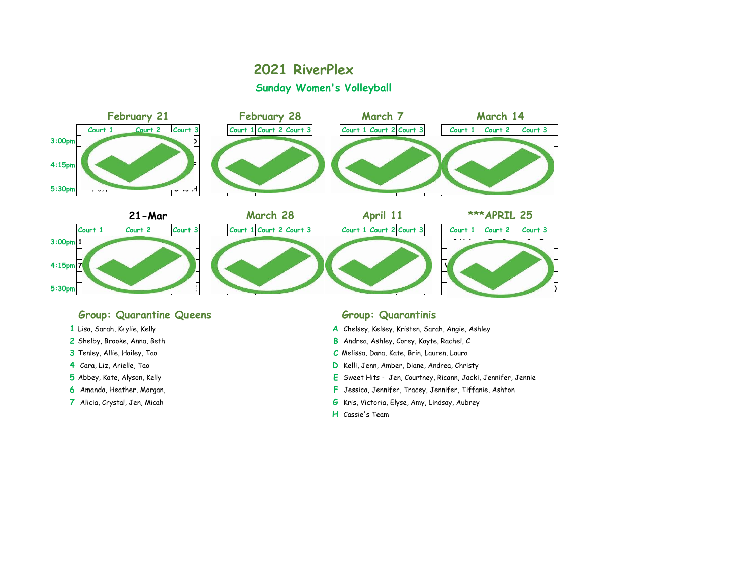### **2021 RiverPlex Sunday Women's Volleyball**



### Group: Quarantine Queens **Group: Group: Quarantinis**

- 
- 
- 
- 
- 
- 
- 

- 1 Lisa, Sarah, Keylie, Kelly, Amber 1988, Amber 2008, Amber 2009, Amber 2009, Angle, Ashley, Amber 2009, Ashley
- **2** Shelby, Brooke, Anna, Beth **B** Andrea, Ashley, Corey, Kayte, Rachel, C
- **3** Tenley, Allie, Hailey, Tao **C** Melissa, Dana, Kate, Brin, Lauren, Laura
- **4** Cara, Liz, Arielle, Tao **D** Kelli, Jenn, Amber, Diane, Andrea, Christy
- **5** Abbey, Kate, Alyson, Kelly **E** Sweet Hits Jen, Courtney, Ricann, Jacki, Jennifer, Jennie
- **6** Amanda, Heather, Morgan, **F** Jessica, Jennifer, Tracey, Jennifer, Tiffanie, Ashton
- **7** Alicia, Crystal, Jen, Micah **G** Kris, Victoria, Elyse, Amy, Lindsay, Aubrey
	- **H** Cassie's Team